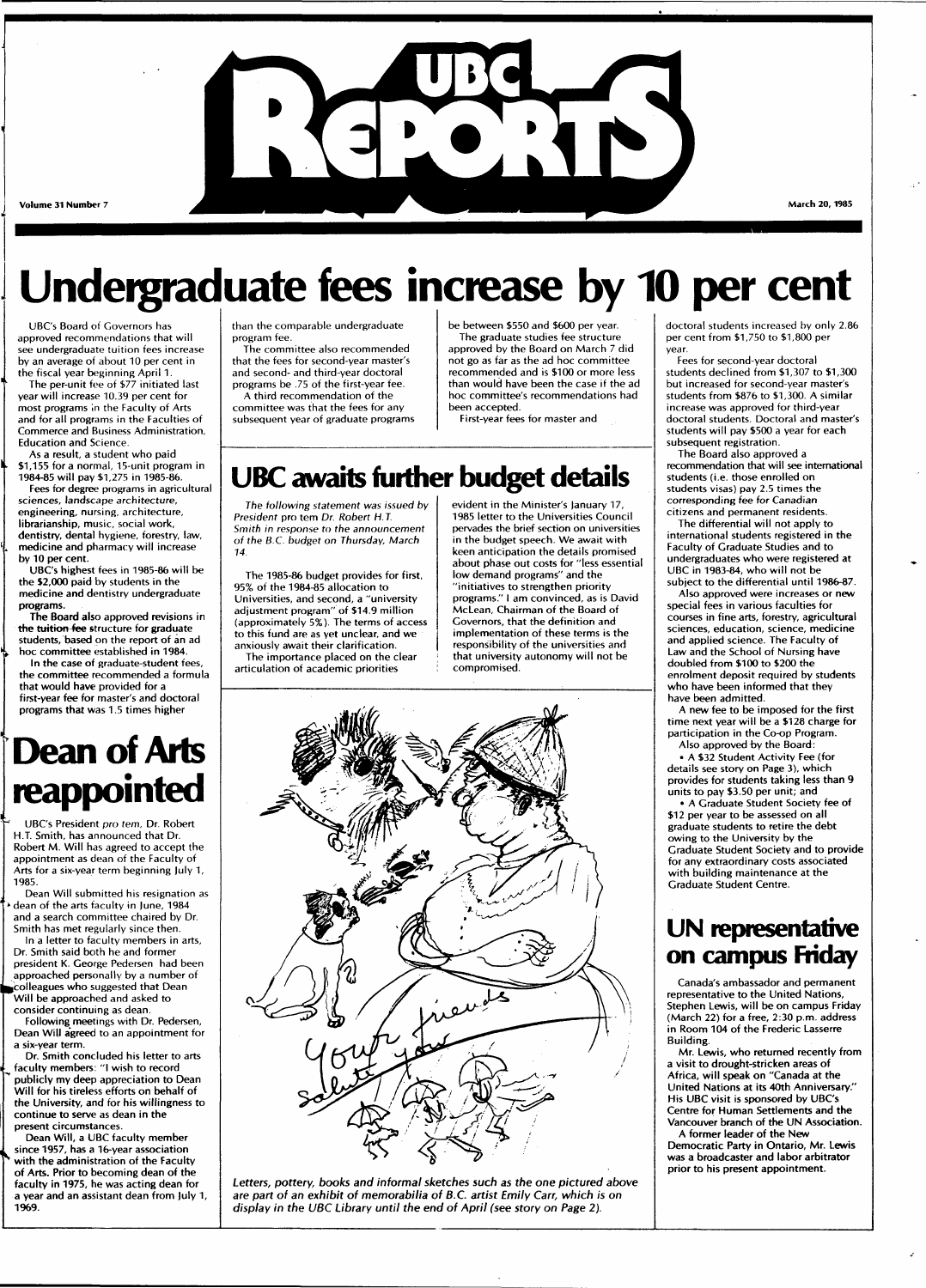

**Volume 31 Number 7** 

# **Undergraduate fees increase by 10 per cent**

UBC's Board of Governors has approved recommendations that will see undergraduate tuition fees increase by an average of about 10 per cent in the fiscal year beginning April 1.

The per-unit fee of \$77 initiated last year will increase 10.39 per cent for most programs in the Faculty of Arts and for all programs in the Faculties of Commerce and Business Administration, Education and Science.

As a result, a student who paid \$1,155 for a normal, 15-unit program in 1984-85 will pay \$1,275 in 1985-86.

Fees for degree programs in agricultural sciences, landscape architecture, engineering, nursing, architecture, librarianship, music, social work, dentistry, dental hygiene, forestry, law, medicine and pharmacy will increase by 10 per cent.

UBC's highest fees in 1985-86 will be the \$2,000 paid by students in the medicine and dentistry undergraduate programs.

The Board also approved revisions in the tuition-fee structure for graduate students, based on the report of an ad hoc committee established in 1984.

In the case of graduate-student fees, the committee recommended a formula that would have provided for a first-year fee for master's and doctoral programs that was 1.5 times higher

# **Dean of Arts reappointed**

UBC's President pro tem, Dr. Robert H.T. Smith, has announced that Dr. Robert M. Will has agreed to accept the appointment as dean of the Faculty of Arts for a six-year term beginning July 1, 1985.

Dean Will submitted his resignation as • dean of the arts faculty in June, 1984 and a search committee chaired by Dr. Smith has met regularly since then. In a letter to faculty members in arts,

Dr. Smith said both he and former president K. George Pedersen had been approached personally by a number of ^Colleagues who suggested that Dean Will be approached and asked to consider continuing as dean.

Following meetings with Dr. Pedersen, Dean Will agreed to an appointment for a six-year term.

Dr. Smith concluded his letter to arts faculty members: "I wish to record publicly my deep appreciation to Dean Will for his tireless efforts on behalf of the University, and for his willingness to continue to serve as dean in the present circumstances.

Dean Will, a UBC faculty member since 1957, has a 16-year association with the administration of the Faculty of Arts. Prior to becoming dean of the faculty in 1975, he was acting dean for a year and an assistant dean from July 1, 1969.

than the comparable undergraduate program fee.

The committee also recommended that the fees for second-year master's and second- and third-year doctoral

programs be .75 of the first-year fee. A third recommendation of the committee was that the fees for any subsequent year of graduate programs be between \$550 and \$600 per year. The graduate studies fee structure approved by the Board on March 7 did not go as far as the ad hoc committee recommended and is \$100 or more less than would have been the case if the ad hoc committee's recommendations had been accepted.

First-year fees for master and

## **UBC awaits further budget details**

The following statement was issued by President pro tem Dr. Robert H.T. Smith in response to the announcement of the B.C. budget on Thursday, March 14.

The 1985-86 budget provides for first, 95% of the 1984-85 allocation to Universities, and second, a "university adjustment program" of \$14.9 million (approximately 5%). The terms of access to this fund are as yet unclear, and we anxiously await their clarification. The importance placed on the clear

articulation of academic priorities

evident in the Minister's January 17, 1985 letter to the Universities Council pervades the brief section on universities in the budget speech. We await with keen anticipation the details promised about phase out costs for "less essential low demand programs" and the "initiatives to strengthen priority programs." I am convinced, as is David McLean, Chairman of the Board of Governors, that the definition and implementation of these terms is the responsibility of the universities and that university autonomy will not be compromised.



Letters, pottery, books and informal sketches such as the one pictured above are part of an exhibit of memorabilia of B.C. artist Emily Carr, which is on display in the UBC Library until the end of April (see story on Page 2).

doctoral students increased by only 2.86 per cent from \$1,750 to \$1,800 per year.

Fees for second-year doctoral students declined from \$1,307 to \$1,300 but increased for second-year master's students from \$876 to \$1,300. A similar increase was approved for third-year doctoral students. Doctoral and master's students will pay \$500 a year for each subsequent registration.

The Board also approved a recommendation that will see international students (i.e. those enrolled on students visas) pay 2.5 times the corresponding fee for Canadian citizens and permanent residents.

The differential will not apply to international students registered in the Faculty of Graduate Studies and to undergraduates who were registered at UBC in 1983-84, who will not be subject to the differential until 1986-87.

Also approved were increases or new special fees in various faculties for courses in fine arts, forestry, agricultural sciences, education, science, medicine and applied science. The Faculty of Law and the School of Nursing have doubled from \$100 to \$200 the enrolment deposit required by students who have been informed that they have been admitted.

A new fee to be imposed for the first time next year will be a \$128 charge for participation in the Co-op Program. Also approved by the Board:

• A \$32 Student Activity Fee (for details see story on Page 3), which provides for students taking less than 9 units to pay \$3.50 per unit; and

• A Graduate Student Society fee of \$12 per year to be assessed on all graduate students to retire the debt owing to the University by the Graduate Student Society and to provide for any extraordinary costs associated with building maintenance at the Graduate Student Centre.

## **UN representative on campus Friday**

Canada's ambassador and permanent representative to the United Nations, Stephen Lewis, will be on campus Friday (March 22) for a free, 2:30 p.m. address in Room 104 of the Frederic Lasserre Building.

Mr. Lewis, who returned recently from a visit to drought-stricken areas of Africa, will speak on "Canada at the United Nations at its 40th Anniversary." His UBC visit is sponsored by UBC's Centre for Human Settlements and the Vancouver branch of the UN Association.

A former leader of the New Democratic Party in Ontario, Mr. Lewis was a broadcaster and labor arbitrator prior to his present appointment.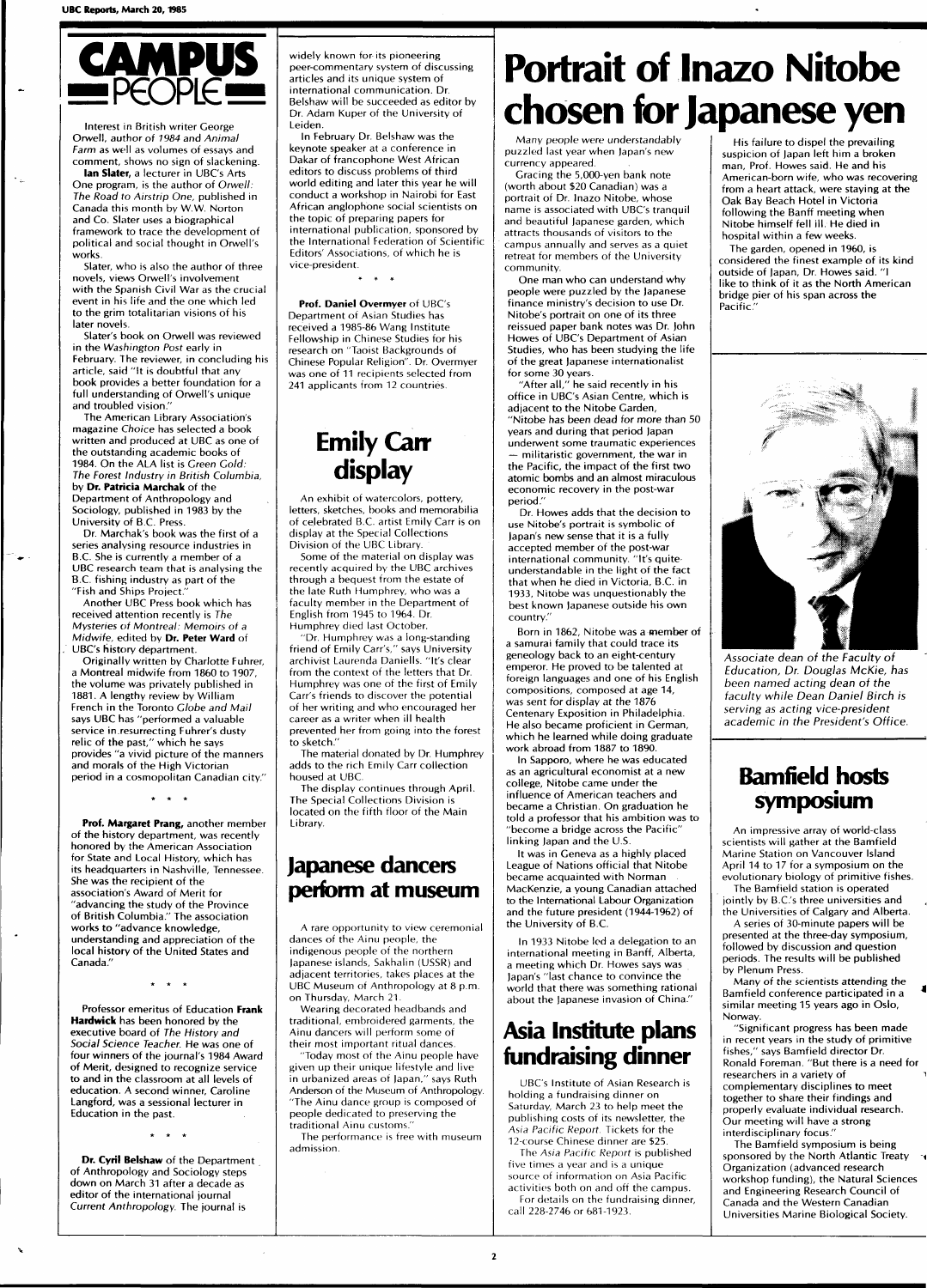

Interest in British writer George Orwell, author of 7984 and Animal Farm as well as volumes of essays and

comment, shows no sign of slackening. **Ian Slater,** a lecturer in UBC's Arts One program, is the author of Orwell: The Road to Airstrip One, published in Canada this month by W.W. Norton and Co. Slater uses a biographical framework to trace the development of political and social thought in Orwell's works.

Slater, who is also the author of three novels, views Orwell's involvement with the Spanish Civil War as the crucial event in his life and the one which led to the grim totalitarian visions of his later novels.

Slater's book on Orwell was reviewed in the Washington Post early in February. The reviewer, in concluding his article, said "It is doubtful that any book provides a better foundation for a full understanding of Orwell's unique and troubled vision."

The American Library Association's magazine Choice has selected a book written and produced at UBC as one of the outstanding academic books of 1984. On the ALA list is Green Cold: The Forest Industry in British Columbia, by **Dr. Patricia Marchak** of the Department of Anthropology and Sociology, published in 1983 by the University of B.C. Press.

Dr. Marchak's book was the first of a series analysing resource industries in B.C. She is currently a member of a UBC research team that is analysing the B.C. fishing industry as part of the "Fish and Ships Project."

Another UBC Press book which has received attention recently is The Mysteries of Montreal: Memoirs of a Midwife, edited by **Dr. Peter Ward** of UBC's history department.

Originally written by Charlotte Fuhrer, a Montreal midwife from 1860 to 1907, the volume was privately published in 1881. A lengthy review by William French in the Toronto Globe and Mail says UBC has "performed a valuable service in.resurrecting Fuhrer's dusty relic of the past," which he says provides "a vivid picture of the manners and morals of the High Victorian period in a cosmopolitan Canadian city."

 $\frac{1}{2}$ 

**Prof. Margaret Prang,** another member of the history department, was recently honored by the American Association for State and Local History, which has its headquarters in Nashville, Tennessee. She was the recipient of the association's Award of Merit for "advancing the study of the Province of British Columbia." The association works to "advance knowledge, understanding and appreciation of the local history of the United States and Canada<sup>"</sup>

Professor emeritus of Education **Frank Hardwick** has been honored by the executive board of The History and Social Science Teacher. He was one of four winners of the journal's 1984 Award of Merit, designed to recognize service to and in the classroom at all levels of education. A second winner, Caroline Langford, was a sessional lecturer in Education in the past.

**Dr. Cyril Belshaw** of the Department of Anthropology and Sociology steps down on March 31 after a decade as editor of the international journal Current Anthropology. The journal is

 $\star$   $\star$   $\star$ 

widely known for its pioneering peer-commentary system of discussing articles and its unique system of international communication. Dr. Belshaw will be succeeded as editor by Dr. Adam Kuper of the University of Leiden.

In February Dr. Belshaw was the keynote speaker at a conference in Dakar of francophone West African editors to discuss problems of third world editing and later this year he will conduct a workshop in Nairobi for East African anglophone social scientists on the topic of preparing papers for international publication, sponsored by the International Federation of Scientific Editors' Associations, of which he is vice-president.

**Prof. Daniel Overmyer** of UBC's Department of Asian Studies has received a 1985-86 Wang Institute Fellowship in Chinese Studies for his research on "Taoist Backgrounds of Chinese Popular Religion". Dr. Overmyer was one of 11 recipients selected from 241 applicants from 12 countries

## **Emily Carr display**

An exhibit of watercolors, pottery, letters, sketches, books and memorabilia of celebrated B.C. artist Emily Carr is on display at the Special Collections Division of the UBC Library.

Some of the material on display was recently acquired by the UBC archives through a bequest from the estate of the late Ruth Humphrey, who was a faculty member in the Department of English from 1945 to 1964. Dr. Humphrey died last October.

"Dr. Humphrey was a long-standing friend of Emily Carr's," says University archivist Laurenda Daniells. "It's clear from the context of the letters that Dr. Humphrey was one of the first of Emily Carr's friends to discover the potential of her writing and who encouraged her career as a writer when ill health prevented her from going into the forest to sketch."

The material donated by Dr. Humphrey adds to the rich Emily Carr collection housed at UBC.

The display continues through April. The Special Collections Division is located on the fifth floor of the Main Library.

## **Japanese dancers perform at museum**

A rare opportunity to view ceremonial dances of the Ainu people, the indigenous people of the northern Japanese islands, Sakhalin (USSR) and adjacent territories, takes places at the UBC Museum of Anthropology at 8 p.m. on Thursday, March 21.

Wearing decorated headbands and traditional, embroidered garments, the Ainu dancers will perform some of their most important ritual dances.

"Today most of the Ainu people have given up their unique lifestyle and live in urbanized areas of lapan," says Ruth Anderson of the Museum of Anthropology. "The Ainu dance group is composed of people dedicated to preserving the traditional Ainu customs."

The performance is free with museum admission.

# **Portrait of Inazo Nitobe chosen for Japanese yen**

Many people were understandably puzzled last year when Japan's new currency appeared.

Gracing the 5,000-yen bank note (worth about \$20 Canadian) was a portrait of Dr. Inazo Nitobe, whose name is associated with UBC's tranquil and beautiful Japanese garden, which attracts thousands of visitors to the campus annually and serves as a quiet retreat for members of the University community.

One man who can understand why people were puzzled by the Japanese finance ministry's decision to use Dr. Nitobe's portrait on one of its three reissued paper bank notes was Dr. John Howes of UBC's Department of Asian Studies, who has been studying the life of the great Japanese internationalist for some 30 years.

"After all," he said recently in his office in UBC's Asian Centre, which is adjacent to the Nitobe Garden, "Nitobe has been dead for more than 50 years and during that period Japan underwent some traumatic experiences

— militaristic government, the war in the Pacific, the impact of the first two atomic bombs and an almost miraculous economic recovery in the post-war period."

Dr. Howes adds that the decision to use Nitobe's portrait is symbolic of Japan's new sense that it is a fully accepted member of the post-war international community. "It's quiteunderstandable in the light of the fact that when he died in Victoria, B.C. in 1933, Nitobe was unquestionably the best known Japanese outside his own country."

Born in 1862, Nitobe was a member of a samurai family that could trace its geneology back to an eight-century emperor. He proved to be talented at foreign languages and one of his English compositions, composed at age 14, was sent for display at the 1876 Centenary Exposition in Philadelphia. He also became proficient in German, which he learned while doing graduate work abroad from 1887 to 1890.

In Sapporo, where he was educated as an agricultural economist at a new college, Nitobe came under the influence of American teachers and became a Christian. On graduation he told a professor that his ambition was to "become a bridge across the Pacific" linking Japan and the U.S.

It was in Geneva as a highly placed League of Nations official that Nitobe became acquainted with Norman MacKenzie, a young Canadian attached to the International Labour Organization and the future president (1944-1962) of the University of B.C.

In 1933 Nitobe led a delegation to an international meeting in Banff, Alberta, a meeting which Dr. Howes says was Japan's "last chance to convince the world that there was something rational about the Japanese invasion of China."

## **Asia Institute plans fundraising dinner**

UBC's Institute of Asian Research is holding a fundraising dinner on Saturday, March 23 to help meet the publishing costs of its newsletter, the Asia Pacific Report. Tickets for the 12-course Chinese dinner are \$25.

The Asia Pacific Report is published five times a year and is a unique source of information on Asia Pacific activities both on and off the campus.

For details on the fundraising dinner, call 228-2746 or 681-1923.

His failure to dispel the prevailing suspicion of Japan left him a broken man, Prof. Howes said. He and his American-born wife, who was recovering from a heart attack, were staying at the Oak Bay Beach Hotel in Victoria following the Banff meeting when Nitobe himself fell ill. He died in hospital within a few weeks.

The garden, opened in 1960, is considered the finest example of its kind outside of Japan, Dr. Howes said. "I like to think of it as the North American bridge pier of his span across the Pacific."



Associate dean of the Faculty of Education, Dr. Douglas McKie, has been named acting dean of the faculty while Dean Daniel Birch is serving as acting vice-president academic in the President's Office.

## **Bamfield hosts symposium**

An impressive array of world-class scientists will gather at the Bamfield Marine Station on Vancouver Island April 14 to 17 for a symposium on the evolutionary biology of primitive fishes. The Bamfield station is operated

jointly by B.C.'s three universities and the Universities of Calgary and Alberta. A series of 30-minute papers will be presented at the three-day symposium, followed by discussion and question periods. The results will be published by Plenum Press.

Many of the scientists attending the Bamfield conference participated in a similar meeting 15 years ago in Oslo, **Norway** 

"Significant progress has been made in recent years in the study of primitive fishes," says Bamfield director Dr. Ronald Foreman. "But there is a need for researchers in a variety of complementary disciplines to meet together to share their findings and properly evaluate individual research. Our meeting will have a strong interdisciplinary focus."

The Bamfield symposium is being sponsored by the North Atlantic Treaty  $\rightarrow$ Organization (advanced research workshop funding), the Natural Sciences and Engineering Research Council of Canada and the Western Canadian Universities Marine Biological Society.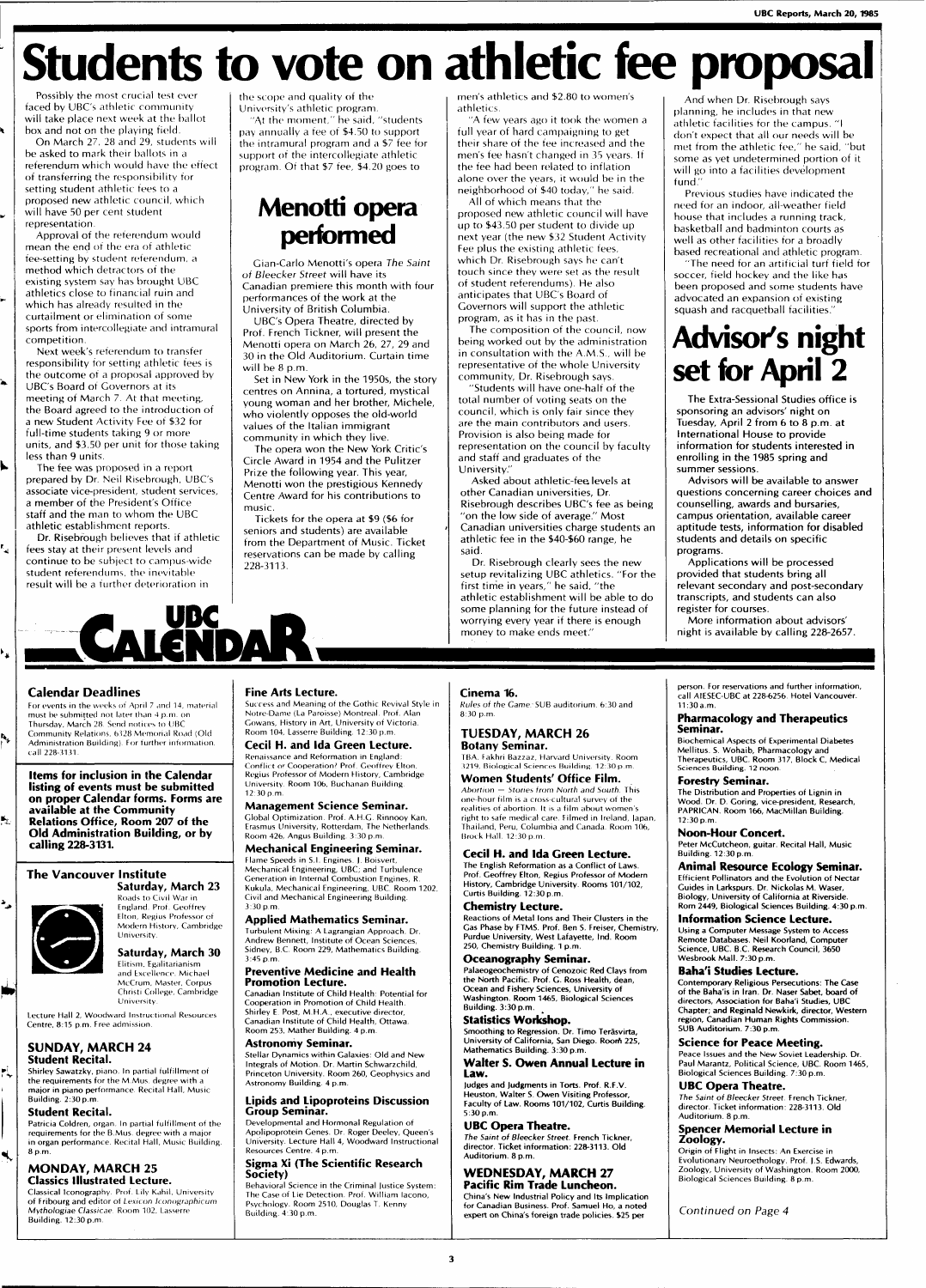# **Students to vote on athletic fee proposal**

Possibly the most crucial test ever faced by UBC's athletic community will take place next week at the ballot box and not on the playing field.

On March 27, 28 and 29, students will be asked to mark their ballots in a referendum which would have the effect of transferring the responsibility for setting student athletic fees to a proposed new athletic council, which will have 50 per cent student representation.

Approval of the referendum would mean the end of the era of athletic fee-setting by student referendum, a method which detractors of the existing system say has brought UBC athletics close to financial ruin and which has already resulted in the curtailment or elimination of some sports from intercollegiate and intramural competition.

Next week's referendum to transfer responsibility for setting athletic fees is the outcome of a proposal approved by UBC's Board of Governors at its meeting of March 7. At that meeting, the Board agreed to the introduction of a new Student Activity Fee of \$32 for full-time students taking 9 or more units, and \$3.50 per unit for those taking less than 9 units.

The fee was proposed in a report prepared by Dr. Neil Risebrough, UBC's associate vice-president, student services, a member of the President's Office staff and the man to whom the UBC athletic establishment reports.

Dr. Risebrough believes that if athletic fees stay at their present levels and continue to be subject to campus-wide student referendums, the inevitable result will be a further deterioration in

the scope and quality of the

University's athletic program. "At the moment," he said, "students pay annually a fee of \$4.50 to support the intramural program and a \$7 fee for support of the intercollegiate athletic program. Of that \$7 fee, \$4.20 goes to

## **Menotti opera performed**

Gian-Carlo Menotti's opera The Saint of Bleecker Street will have its Canadian premiere this month with four performances of the work at the University of British Columbia.

UBC's Opera Theatre, directed by Prof. French Tickner, will present the Menotti opera on March 26, 27, 29 and 30 in the Old Auditorium. Curtain time will be 8 p.m.

Set in New York in the 1950s, the story centres on Annina, a tortured, mystical young woman and her brother, Michele, who violently opposes the old-world values of the Italian immigrant

community in which they live. The opera won the New York Critic's Circle Award in 1954 and the Pulitzer Prize the following year. This year, Menotti won the prestigious Kennedy Centre Award for his contributions to

music. Tickets for the opera at \$9 (\$6 for seniors and students) are available from the Department of Music. Ticket reservations can be made by calling 228-3113.

men's athletics and \$2.80 to women's athletics.

"A few years ago it took the women a full year of hard campaigning to get their share of the fee increased and the men's fee hasn't changed in 35 years. If the fee had been related to inflation alone over the years, it would be in the neighborhood of \$40 today," he said. All of which means that the

proposed new athletic council will have up to \$43.50 per student to divide up next year (the new \$32 Student Activity Fee plus the existing athletic fees, which Dr. Risebrough says he can't touch since they were set as the result of student referendums). He also anticipates that UBC's Board of Governors will support the athletic program, as it has in the past.

The composition of the council, now being worked out by the administration in consultation with the A.M.S., will be representative of the whole University community, Dr. Risebrough says.

"Students will have one-half of the total number of voting seats on the council, which is only fair since they are the main contributors and users. Provision is also being made for representation on the council by faculty and staff and graduates of the University."

Asked about athletic-fee levels at other Canadian universities, Dr. Risebrough describes UBC's fee as being "on the low side of average." Most Canadian universities charge students an athletic fee in the \$40-\$60 range, he said.

Dr. Risebrough clearly sees the new setup revitalizing UBC athletics. "For the first time in years," he said, "the athletic establishment will be able to do some planning for the future instead of worrying every year if there is enough money to make ends meet."

And when Dr. Risebrough says planning, he includes in that new athletic facilities for the campus. "I don't expect that all our needs will be met from the athletic fee," he said, "but some as yet undetermined portion of it will go into a facilities development fund."

Previous studies have indicated the need for an indoor, all-weather field house that includes a running track, basketball and badminton courts as well as other facilities for a broadly based recreational and athletic program.

"The need for an artificial turf field for soccer, field hockey and the like has been proposed and some students have advocated an expansion of existing squash and racquetball facilities.

# **Advisor's night set for April 2**

The Extra-Sessional Studies office is sponsoring an advisors' night on Tuesday, April 2 from 6 to 8 p.m. at International House to provide information for students interested in enrolling in the 1985 spring and summer sessions.

Advisors will be available to answer questions concerning career choices and counselling, awards and bursaries, campus orientation, available career aptitude tests, information for disabled students and details on specific programs.

Applications will be processed provided that students bring all relevant secondary and post-secondary transcripts, and students can also register for courses.

More information about advisors' night is available by calling 228-2657.

## Calendar Deadlines

к.<br>А

h,

坠

۰,

ió,

PĻ

 $\blacktriangleleft$ 

For events in the weeks ot April 7 and J4, material must be submitted not later than 4 p.m. on Thursday, March 28. Send notices to UBC Community Relations, 6328 Memorial Koad (Old Administration Building). For further information call 228-3131.

Items for inclusion in the Calendar listing of events must be submitted on proper Calendar forms. Forms are available at the Community Relations Office, Room 207 of the Old Administration Building, or by calling 228-3131.

## The Vancouver Institute



Saturday, March 23 Roads to Civil War in England. Prot. Geoffrey

Elton, Regius Professor of Modern History, Cambridge

Saturday, March 30 Elitism. Egalitarianism and Excellence. Michael McCrum, Master, Corpus Christi College, Cambridge

Lecture Hall 2, Woodward Instructional Resources Centre, 8:15 p.m. Free admission.

## SUNDAY, MARCH 24 Student Recital.

**Shirley Sawatzky,** piano. In partial fulfillment of the requirements for the M.Mus. degree with a major in piano performance. Recital Hall, Music **Building.** 2:30 **p.m** 

## Student Recital.

Patricia Coldren, organ. In partial fulfillment of the requirements for the B.Mus. degree with a major in organ performance. Recital Hall, Music Building. 8 p.m.

## **MONDAY, MARCH 25**

Classics Illustrated Lecture. Classical Iconography. Prof. Lily Kahil, University of Fribourg and editor of Lex/con Iconographicum Mythologiae Classicae. Room 102, Lasserre Building. 12:30 p.m

## Fine Arts Lecture.

**.CAIDA** 

Success and Meaning of the Gothic Revival Style in Notre-Dame (La Paroisse) Montreal. Prof. Alan Gowans, History in Art, University of Victoria. Room 104, Lasserre Building. 12:30 p.m.

Cecil H. and Ida Green Lecture. Renaissance and Reformation in England: Conflict or Cooperation? Prof. Geoffrey Elton, Regius Professor of Modern Flistory, Cambridge University Room 106, Buchanan Building 12:30p.m.

Management Science Seminar. Global Optimization Prof. A.H.G Rinnooy Kan, Erasmus University, Rotterdam, The Netherlands. Room 426, Angus Building. 3:30 p.m.

#### Mechanical Engineering Seminar. Flame Speeds in S.I. Engines. J. Boisvert

Mechanical Engineering, UBC: and Turbulence Generation in Internal Combustion Engines, R. Kukula, Mechanical Engineering, UBC. Room 1202, Civil and Mechanical Engineering Building. 3:30 p.m.

## Applied Mathematics Seminar.

Turbulent Mixing: A Lagrangian Approach. Dr. Andrew Bennett, Institute of Ocean Sciences, Sidney, B.C. Room 229, Mathematics Building. 3:45 p.m.

#### Preventive Medicine and Health Promotion Lecture.

**Canadian Institute** of **Child** Health: Potential for Cooperation in Promotion of Child Health. Shirley E. Post, M.H.A., executive director, Canadian Institute of Child Health, Ottawa.

### Room 253, Mather Building. 4 p.m. Astronomy Seminar.

Stellar Dynamics within Galaxies: Old and New Integrals of Motion . Dr. Martin Schwarzchild, Princeton University. Room 260, Geophysics and Astronomy Building. 4 p.m.

#### Lipids and Lipoproteins Discussion Group Seminar.

Developmental and Hormonal Regulation of Apolipoprotein Genes. Dr Roger Deeley, Queen's University. Lecture Hall 4, Woodward Instructional Resources Centre. 4 p.m.

## Sigma Xi (The Scientific Research Society)

Behavioral Science in the Criminal Justice System: The Case of Lie Detection. Prof. William Iacono, Psychology. Room 2510, Douglas T. Kenny Building. 4:30 p.m.

## Cinema 16.

Rules ot the Game: SUB auditorium. 6:30 and 8:30 p.m.

## **TUESDAY, MARCH 26** Botany Seminar.

TBA. Fakhri Bazzaz, Harvard University. Room 3219, Biological Sciences Building. 12:30 p.m.

#### Women Students' Office Film. Abortion — Stories from North and South. This one-hour film is a cross-cultural survey of the realities of abortion. It is a film about women's right to safe medical care. Filmed in Ireland, lapan, Thailand, Peru, Columbia and Canada. Room 106, Brock Hall. 12:30 p.m.

Cecil H. and Ida Green Lecture.

**The English Reformation as a Conflict of Laws. Prof. Geoffrey Elton, Regius Professor of Modern History, Cambridge University. Rooms 101/102, Curtis Building. 12:30 p.m.** 

## Chemistry Lecture.

**Reactions of Metal Ions and Their Clusters in the Gas Phase by FTMS. Prof. Ben S. Freiser, Chemistry, Purdue University, West Lafayette, Ind. Room 250, Chemistry Building. 1 p.m.** 

## Oceanography Seminar.

**Palaeogeochemistry of Cenozoic Red Clays from the North Pacific. Prof. G. Ross Health, dean, Ocean and Fishery Sciences, University of Washington. Room 1465, Biological Sciences Building. 3:30 p.m.** 

## Statistics Workshop. **Smoothing to Regression. Dr. Timo Terasvirta,**

**University of California, San Diego. Roorfi 225, Mathematics Building.** 3:30 **p.m.**  Walter S. Owen Annual Lecture in Law.

## **Judges and Judgments in Torts. Prof. R.F.V. Heuston, Walter S. Owen Visiting Professor, Faculty of Law. Rooms 101/102, Curtis Building.**  5:30 **p.m.**

UBC Opera Theatre. **The** Saint **of Bleecker Street. French Tickner, director. Ticket information: 228-3113. Old Auditorium. 8 p.m.** 

### **WEDNESDAY, MARCH 27** Pacific Rim Trade Luncheon.

**China's New Industrial Policy and Its Implication for Canadian Business. Prof. Samuel Ho, a noted expert on China's foreign trade policies. \$25 per** 

**person. For reservations and further information,**  call AIESEC-UBC at 228-6256 **Hotel Vancouver. 11:30a.m.** 

## Pharmacology and Therapeutics Seminar.

**Biochemical Aspects of Experimental Diabetes Mellitus. S. Wohaib, Pharmacology and Therapeutics, UBC. Room 317, Block C, Medical**  Sciences **Building.** 12 **noon.** 

## Forestry Seminar.

**The Distribution and Properties of Lignin in Wood. Dr. D. Goring, vice-president, Research, PAPRICAN. Room 166, MacMillan Building.**  12:30 p.m.

## Noon-Hour Concert.

**Peter McCutcheon, guitar. Recital Hall, Music Building. 12:30 p.m.**  Animal Resource Ecology Seminar.

## **Efficient Pollinators and the Evolution of Nectar Guides in Larkspurs. Dr. Nickolas M. Waser, Biology, University of California at Riverside. Rom 2449, Biological Sciences Building. 4:30 p.m.**

Information Science Lecture. **Using a Computer Message System to Access Remote Databases. Neil Koorland, Computer Science, UBC. B.C. Research Council, 3650 Wesbrook Mall. 7:30 p.m.** 

## Baha'i Studies Lecture.

**Contemporary Religious Persecutions: The Case of the Baha'is in Iran. Dr. Naser Sabet, board of directors, Association for Baha'i Studies, UBC Chapter; and Reginald Newkirk, director, Western region, Canadian Human Rights Commission. SUB Auditorium. 7:30 p.m.** 

## Science for Peace Meeting.

Peace Issues and **the** New Soviet Leadership. **Dr. Paul Marantz,** Political Science, **UBC. Room 1465, Biological** Sciences **Building. 7:30 p.m.** 

## UBC Opera Theatre.

The Saint of Bleecker Street French Tickner, **director. Ticket information: 228-3113. Old Auditorium.** 8 **p.m.** 

## Spencer Memorial Lecture in Zoology.

**Origin** of Flight in Insects: **An** Exercise in Evolutionary Neuroethology. Prof. |.S. Edwards, Zoology, University of Washington. Room 2000, Biological Sciences Building. 8 p.m.

Continued on Page 4

 $\overline{\mathbf{3}}$ 



# University.

University.